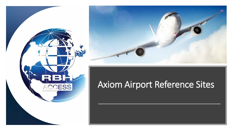



## Axiom Airport Reference Sites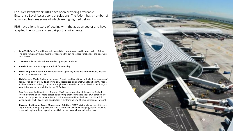For Over Twenty years RBH have been providing affordable Enterprise Level Access control solutions. The Axiom has a number of advanced features some of which are highlighted below.

RBH have a long history of dealing with the aviation sector and have adapted the software to suit airport requirements.

- **Auto-Void Cards** The ability to void a card that hasn't been used in a set period of time. The card remains in the software for reportability but no longer functions at the door until re-activated.
- **2 Person Rule** 2 valid cards required to open specific doors.
- **Interlock** 120 door intelligent interlock functionality.
- **Escort Required** A visitor for example cannot open any doors within the building without an accompanying escort card.
- **High Security Mode** During an Increased Threat Level Lock Down a single door, a group of doors, or all doors site-wide, allowing only specialized personnel with High Security Mode enabled on their card to go in and out. High security mode can be enabled at the door, via a panic button, or through the Integra32 Software.
- **Ebar** Electronic Building Access Request. EBAR gives ownership of the Access Control system doors to one or more personnel allowing them to manage their own cardholders from the companies Intranet. • Authorization accountability • Reduces Liability • Full logging audit trail • Work load distribution • Customizable to fit your companies Intranet.
- **Physical Identity and Access Management Solutions** PIAMS Visitor Management Security requirements of large organizations and facilities are always challenging, visitors must be screened, registered and signed in quickly in some cases with restricted access

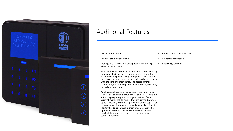

## Additional Features

- Online visitors reports
- For multiple locations / units
- Manage and track visitors throughout facilities using Time and Attendance
- RBH has links to a Time and Attendance system providing improved efficiency, accuracy and productivity to the resource management and payroll process. This system has a roster management module built in that integrates with the time and attendance, and access control hardware systems to help provide attendance, overtime, payroll and much more.
- Employee and user role management used in Airports, Universities and Banks around the world, RBH PIAMS is a software program specially designed to identify and verify all personnel. To ensure that security and safety is up to standards, RBH PIAMS provides a critical separation of Identity verification and credential administration. An identity has to go through a chain of commands to be approved. RBH PIAMS can be connected to multiple criminal databases to ensure the highest security standard. Features:
- Verification to criminal database
- Credential production
- Reporting / auditing